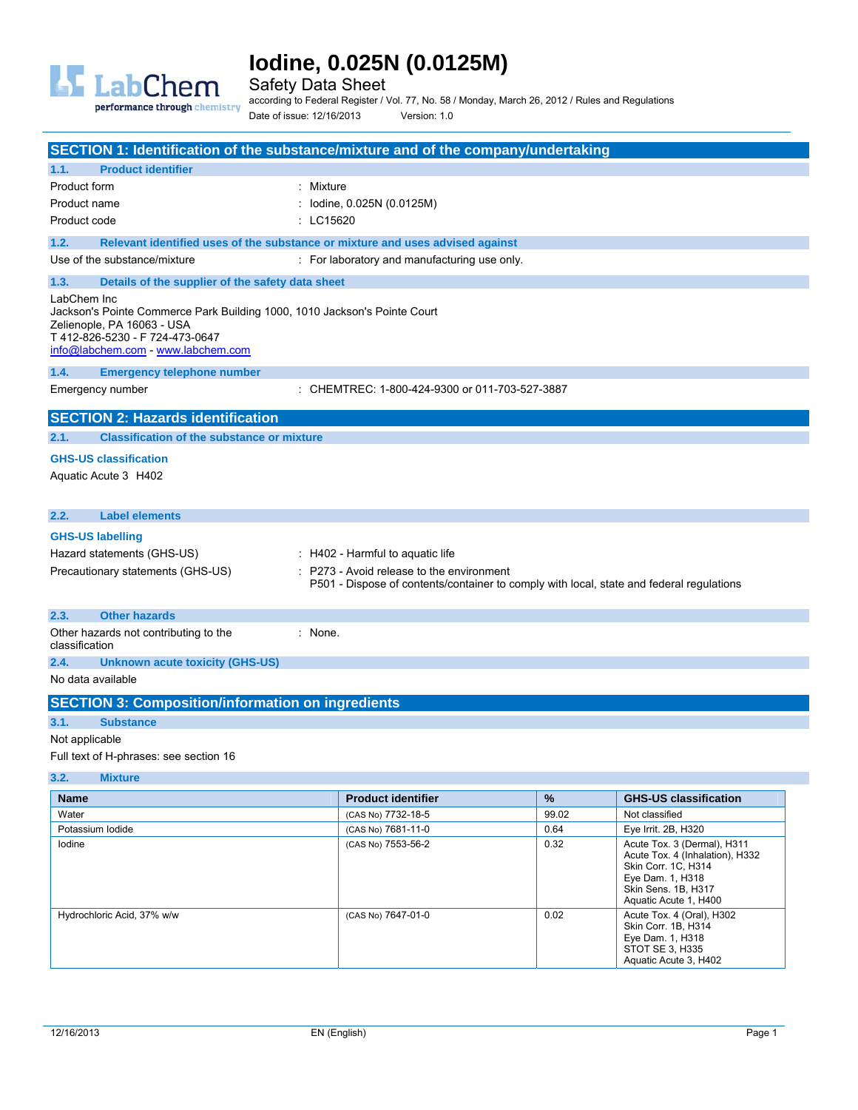

Safety Data Sheet

performance through chemistry

according to Federal Register / Vol. 77, No. 58 / Monday, March 26, 2012 / Rules and Regulations Date of issue: 12/16/2013 Version: 1.0

| SECTION 1: Identification of the substance/mixture and of the company/undertaking                                                                                                             |                                                                                                                                                                             |       |                                                                                       |
|-----------------------------------------------------------------------------------------------------------------------------------------------------------------------------------------------|-----------------------------------------------------------------------------------------------------------------------------------------------------------------------------|-------|---------------------------------------------------------------------------------------|
| <b>Product identifier</b><br>1.1.                                                                                                                                                             |                                                                                                                                                                             |       |                                                                                       |
| Product form                                                                                                                                                                                  | : Mixture                                                                                                                                                                   |       |                                                                                       |
| Product name                                                                                                                                                                                  | lodine, 0.025N (0.0125M)                                                                                                                                                    |       |                                                                                       |
| Product code                                                                                                                                                                                  | : LC15620                                                                                                                                                                   |       |                                                                                       |
| 1.2.                                                                                                                                                                                          | Relevant identified uses of the substance or mixture and uses advised against                                                                                               |       |                                                                                       |
| Use of the substance/mixture                                                                                                                                                                  | : For laboratory and manufacturing use only.                                                                                                                                |       |                                                                                       |
| 1.3.<br>Details of the supplier of the safety data sheet                                                                                                                                      |                                                                                                                                                                             |       |                                                                                       |
| LabChem Inc<br>Jackson's Pointe Commerce Park Building 1000, 1010 Jackson's Pointe Court<br>Zelienople, PA 16063 - USA<br>T412-826-5230 - F724-473-0647<br>info@labchem.com - www.labchem.com |                                                                                                                                                                             |       |                                                                                       |
| 1.4.<br><b>Emergency telephone number</b>                                                                                                                                                     |                                                                                                                                                                             |       |                                                                                       |
| Emergency number                                                                                                                                                                              | : CHEMTREC: 1-800-424-9300 or 011-703-527-3887                                                                                                                              |       |                                                                                       |
| <b>SECTION 2: Hazards identification</b>                                                                                                                                                      |                                                                                                                                                                             |       |                                                                                       |
| <b>Classification of the substance or mixture</b><br>2.1.                                                                                                                                     |                                                                                                                                                                             |       |                                                                                       |
| <b>GHS-US classification</b><br>Aquatic Acute 3 H402                                                                                                                                          |                                                                                                                                                                             |       |                                                                                       |
| <b>Label elements</b><br>2.2.                                                                                                                                                                 |                                                                                                                                                                             |       |                                                                                       |
| <b>GHS-US labelling</b><br>Hazard statements (GHS-US)<br>Precautionary statements (GHS-US)                                                                                                    | $\pm$ H402 - Harmful to aquatic life<br>P273 - Avoid release to the environment<br>P501 - Dispose of contents/container to comply with local, state and federal regulations |       |                                                                                       |
| <b>Other hazards</b><br>2.3.                                                                                                                                                                  |                                                                                                                                                                             |       |                                                                                       |
| Other hazards not contributing to the<br>classification                                                                                                                                       | $:$ None.                                                                                                                                                                   |       |                                                                                       |
| 2.4.<br><b>Unknown acute toxicity (GHS-US)</b>                                                                                                                                                |                                                                                                                                                                             |       |                                                                                       |
| No data available                                                                                                                                                                             |                                                                                                                                                                             |       |                                                                                       |
| <b>SECTION 3: Composition/information on ingredients</b>                                                                                                                                      |                                                                                                                                                                             |       |                                                                                       |
| 3.1.<br><b>Substance</b>                                                                                                                                                                      |                                                                                                                                                                             |       |                                                                                       |
| Not applicable                                                                                                                                                                                |                                                                                                                                                                             |       |                                                                                       |
| Full text of H-phrases: see section 16                                                                                                                                                        |                                                                                                                                                                             |       |                                                                                       |
| 3.2.<br><b>Mixture</b>                                                                                                                                                                        |                                                                                                                                                                             |       |                                                                                       |
| Name                                                                                                                                                                                          | <b>Product identifier</b>                                                                                                                                                   | $\%$  | <b>GHS-US classification</b>                                                          |
| Water                                                                                                                                                                                         | (CAS No) 7732-18-5                                                                                                                                                          | 99.02 | Not classified                                                                        |
| Potassium lodide                                                                                                                                                                              | (CAS No) 7681-11-0                                                                                                                                                          | 0.64  | Eye Irrit. 2B, H320                                                                   |
| lodine                                                                                                                                                                                        | (CAS No) 7553-56-2                                                                                                                                                          | 0.32  | Acute Tox. 3 (Dermal), H311<br>Acute Tox. 4 (Inhalation), H332<br>Skin Corr. 1C, H314 |

|                            |                    |      | Skin Corr. 1C, H314<br>Eye Dam. 1, H318<br>Skin Sens, 1B, H317<br>Aquatic Acute 1, H400                          |
|----------------------------|--------------------|------|------------------------------------------------------------------------------------------------------------------|
| Hydrochloric Acid, 37% w/w | (CAS No) 7647-01-0 | 0.02 | Acute Tox. 4 (Oral), H302<br>Skin Corr. 1B. H314<br>Eye Dam. 1, H318<br>STOT SE 3, H335<br>Aquatic Acute 3, H402 |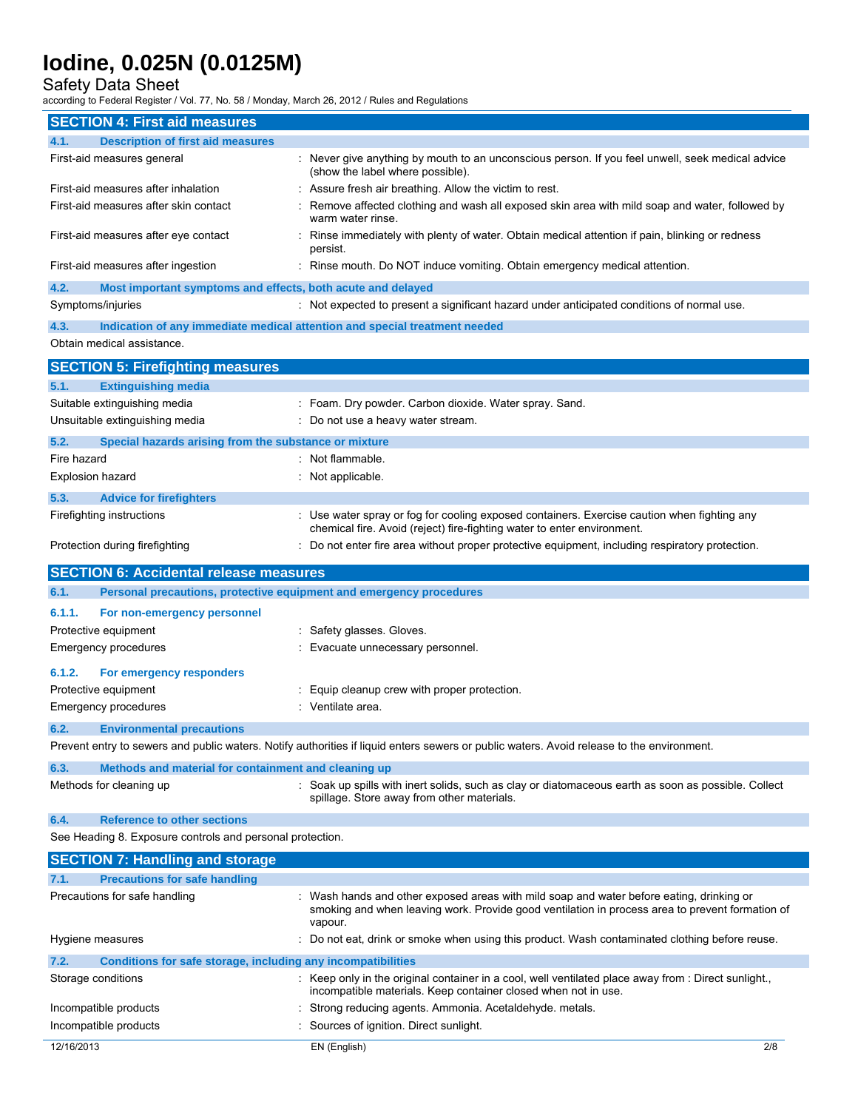Safety Data Sheet

| <b>SECTION 4: First aid measures</b>                                 |                                                                                                                                                                                                        |
|----------------------------------------------------------------------|--------------------------------------------------------------------------------------------------------------------------------------------------------------------------------------------------------|
| 4.1.<br><b>Description of first aid measures</b>                     |                                                                                                                                                                                                        |
| First-aid measures general                                           | : Never give anything by mouth to an unconscious person. If you feel unwell, seek medical advice<br>(show the label where possible).                                                                   |
| First-aid measures after inhalation                                  | Assure fresh air breathing. Allow the victim to rest.                                                                                                                                                  |
| First-aid measures after skin contact                                | Remove affected clothing and wash all exposed skin area with mild soap and water, followed by<br>warm water rinse.                                                                                     |
| First-aid measures after eye contact                                 | Rinse immediately with plenty of water. Obtain medical attention if pain, blinking or redness<br>persist.                                                                                              |
| First-aid measures after ingestion                                   | Rinse mouth. Do NOT induce vomiting. Obtain emergency medical attention.                                                                                                                               |
| 4.2.<br>Most important symptoms and effects, both acute and delayed  |                                                                                                                                                                                                        |
| Symptoms/injuries                                                    | : Not expected to present a significant hazard under anticipated conditions of normal use.                                                                                                             |
| 4.3.<br>Obtain medical assistance.                                   | Indication of any immediate medical attention and special treatment needed                                                                                                                             |
|                                                                      |                                                                                                                                                                                                        |
| <b>SECTION 5: Firefighting measures</b>                              |                                                                                                                                                                                                        |
| 5.1.<br><b>Extinguishing media</b>                                   |                                                                                                                                                                                                        |
| Suitable extinguishing media                                         | Foam. Dry powder. Carbon dioxide. Water spray. Sand.                                                                                                                                                   |
| Unsuitable extinguishing media                                       | Do not use a heavy water stream.                                                                                                                                                                       |
| 5.2.<br>Special hazards arising from the substance or mixture        |                                                                                                                                                                                                        |
| Fire hazard                                                          | : Not flammable.                                                                                                                                                                                       |
| <b>Explosion hazard</b>                                              | : Not applicable.                                                                                                                                                                                      |
| 5.3.<br><b>Advice for firefighters</b>                               |                                                                                                                                                                                                        |
| Firefighting instructions                                            | : Use water spray or fog for cooling exposed containers. Exercise caution when fighting any<br>chemical fire. Avoid (reject) fire-fighting water to enter environment.                                 |
| Protection during firefighting                                       | : Do not enter fire area without proper protective equipment, including respiratory protection.                                                                                                        |
| <b>SECTION 6: Accidental release measures</b>                        |                                                                                                                                                                                                        |
|                                                                      |                                                                                                                                                                                                        |
| 6.1.                                                                 | Personal precautions, protective equipment and emergency procedures                                                                                                                                    |
| 6.1.1.<br>For non-emergency personnel                                |                                                                                                                                                                                                        |
| Protective equipment                                                 | : Safety glasses. Gloves.                                                                                                                                                                              |
| <b>Emergency procedures</b>                                          | Evacuate unnecessary personnel.                                                                                                                                                                        |
|                                                                      |                                                                                                                                                                                                        |
| 6.1.2.<br>For emergency responders                                   |                                                                                                                                                                                                        |
| Protective equipment<br><b>Emergency procedures</b>                  | Equip cleanup crew with proper protection.                                                                                                                                                             |
|                                                                      | Ventilate area.                                                                                                                                                                                        |
| 6.2.<br><b>Environmental precautions</b>                             |                                                                                                                                                                                                        |
|                                                                      | Prevent entry to sewers and public waters. Notify authorities if liquid enters sewers or public waters. Avoid release to the environment.                                                              |
| 6.3.<br>Methods and material for containment and cleaning up         |                                                                                                                                                                                                        |
| Methods for cleaning up                                              | : Soak up spills with inert solids, such as clay or diatomaceous earth as soon as possible. Collect<br>spillage. Store away from other materials.                                                      |
| 6.4.<br><b>Reference to other sections</b>                           |                                                                                                                                                                                                        |
| See Heading 8. Exposure controls and personal protection.            |                                                                                                                                                                                                        |
| <b>SECTION 7: Handling and storage</b>                               |                                                                                                                                                                                                        |
| 7.1.<br><b>Precautions for safe handling</b>                         |                                                                                                                                                                                                        |
| Precautions for safe handling                                        | : Wash hands and other exposed areas with mild soap and water before eating, drinking or<br>smoking and when leaving work. Provide good ventilation in process area to prevent formation of<br>vapour. |
| Hygiene measures                                                     | : Do not eat, drink or smoke when using this product. Wash contaminated clothing before reuse.                                                                                                         |
| 7.2.<br>Conditions for safe storage, including any incompatibilities |                                                                                                                                                                                                        |
| Storage conditions                                                   | : Keep only in the original container in a cool, well ventilated place away from : Direct sunlight.,<br>incompatible materials. Keep container closed when not in use.                                 |
| Incompatible products                                                | Strong reducing agents. Ammonia. Acetaldehyde. metals.                                                                                                                                                 |
| Incompatible products                                                | Sources of ignition. Direct sunlight.                                                                                                                                                                  |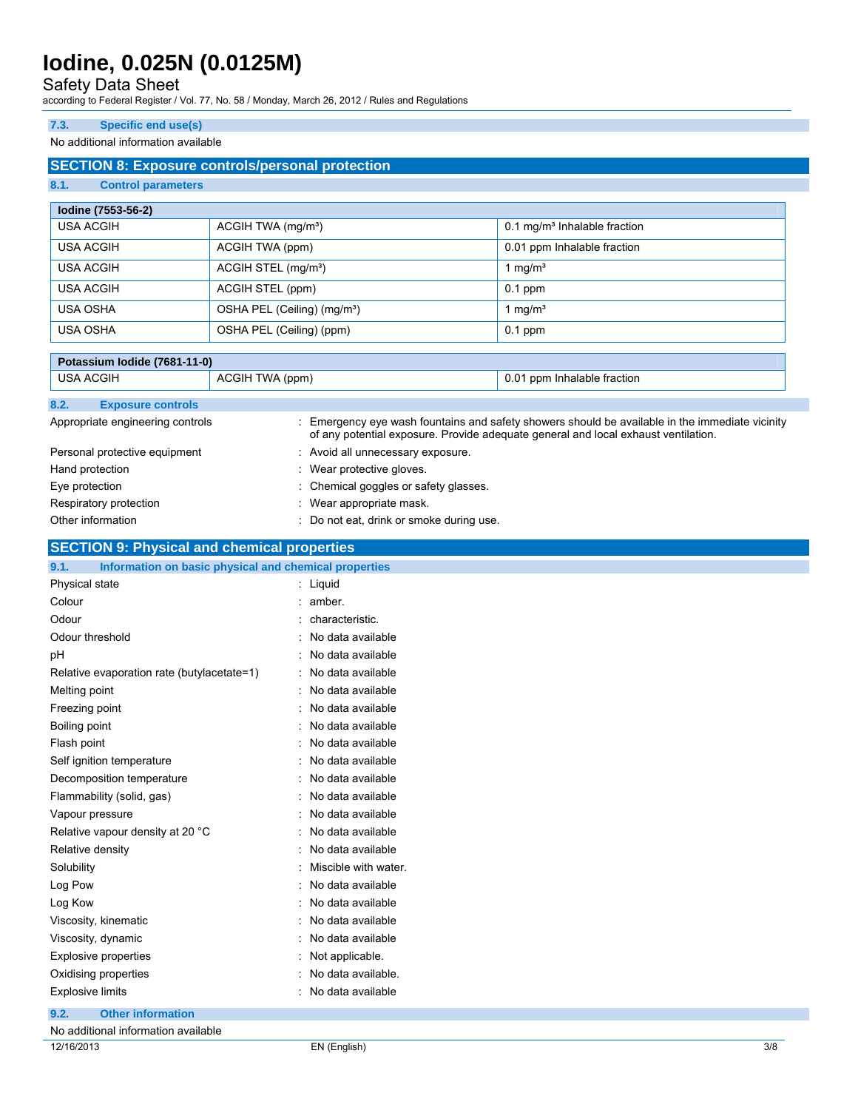### Safety Data Sheet

according to Federal Register / Vol. 77, No. 58 / Monday, March 26, 2012 / Rules and Regulations

#### **7.3. Specific end use(s)**

#### No additional information available

### **SECTION 8: Exposure controls/personal protection**

### **8.1. Control parameters**

| lodine (7553-56-2) |                                         |                                          |
|--------------------|-----------------------------------------|------------------------------------------|
| <b>USA ACGIH</b>   | ACGIH TWA (mg/m <sup>3</sup> )          | 0.1 mg/m <sup>3</sup> Inhalable fraction |
| USA ACGIH          | ACGIH TWA (ppm)                         | 0.01 ppm Inhalable fraction              |
| USA ACGIH          | ACGIH STEL (mg/m <sup>3</sup> )         | 1 mg/m $3$                               |
| USA ACGIH          | ACGIH STEL (ppm)                        | $0.1$ ppm                                |
| USA OSHA           | OSHA PEL (Ceiling) (mg/m <sup>3</sup> ) | $\cdot$ mg/m <sup>3</sup>                |
| USA OSHA           | OSHA PEL (Ceiling) (ppm)                | $0.1$ ppm                                |

|                  | Potassium Iodide (7681-11-0)     |                 |                                          |                                                                                                                                                                                       |
|------------------|----------------------------------|-----------------|------------------------------------------|---------------------------------------------------------------------------------------------------------------------------------------------------------------------------------------|
| <b>USA ACGIH</b> |                                  | ACGIH TWA (ppm) |                                          | 0.01 ppm Inhalable fraction                                                                                                                                                           |
| 8.2.             | <b>Exposure controls</b>         |                 |                                          |                                                                                                                                                                                       |
|                  | Appropriate engineering controls |                 |                                          | : Emergency eye wash fountains and safety showers should be available in the immediate vicinity<br>of any potential exposure. Provide adequate general and local exhaust ventilation. |
|                  | Personal protective equipment    |                 | : Avoid all unnecessary exposure.        |                                                                                                                                                                                       |
| Hand protection  |                                  |                 | : Wear protective gloves.                |                                                                                                                                                                                       |
| Eye protection   |                                  |                 | : Chemical goggles or safety glasses.    |                                                                                                                                                                                       |
|                  | Respiratory protection           |                 | : Wear appropriate mask.                 |                                                                                                                                                                                       |
|                  | Other information                |                 | : Do not eat, drink or smoke during use. |                                                                                                                                                                                       |

### **SECTION 9: Physical and chemical properties**

| 9.1.<br>Information on basic physical and chemical properties |                        |
|---------------------------------------------------------------|------------------------|
| Physical state                                                | : Liquid               |
| Colour                                                        | $:$ amber.             |
| Odour                                                         | : characteristic.      |
| Odour threshold                                               | : No data available    |
| рH                                                            | : No data available    |
| Relative evaporation rate (butylacetate=1)                    | : No data available    |
| Melting point                                                 | : No data available    |
| Freezing point                                                | : No data available    |
| Boiling point                                                 | : No data available    |
| Flash point                                                   | : No data available    |
| Self ignition temperature                                     | : No data available    |
| Decomposition temperature                                     | : No data available    |
| Flammability (solid, gas)                                     | : No data available    |
| Vapour pressure                                               | : No data available    |
| Relative vapour density at 20 °C                              | : No data available    |
| Relative density                                              | : No data available    |
| Solubility                                                    | : Miscible with water. |
| Log Pow                                                       | : No data available    |
| Log Kow                                                       | : No data available    |
| Viscosity, kinematic                                          | : No data available    |
| Viscosity, dynamic                                            | : No data available    |
| Explosive properties                                          | : Not applicable.      |
| Oxidising properties                                          | : No data available.   |
| <b>Explosive limits</b>                                       | : No data available    |
| <b>Other information</b><br>9.2.                              |                        |

| No additional information available |                    |     |
|-------------------------------------|--------------------|-----|
| 12/16/2013                          | EN (English)<br>–… | 3/8 |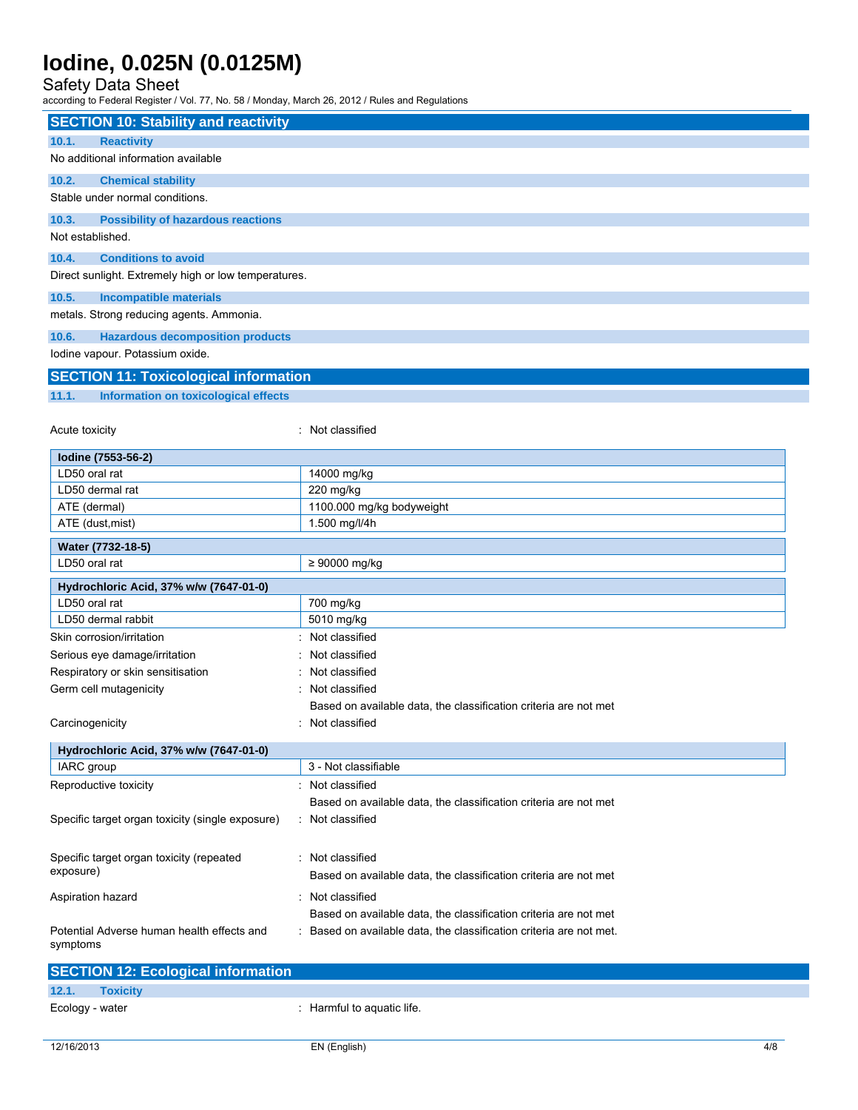### Safety Data Sheet

| <b>SECTION 10: Stability and reactivity</b>                                        |                                                                     |  |
|------------------------------------------------------------------------------------|---------------------------------------------------------------------|--|
| <b>Reactivity</b><br>10.1.                                                         |                                                                     |  |
| No additional information available                                                |                                                                     |  |
| 10.2.<br><b>Chemical stability</b>                                                 |                                                                     |  |
| Stable under normal conditions.                                                    |                                                                     |  |
| 10.3.<br><b>Possibility of hazardous reactions</b>                                 |                                                                     |  |
| Not established.                                                                   |                                                                     |  |
| 10.4.<br><b>Conditions to avoid</b>                                                |                                                                     |  |
| Direct sunlight. Extremely high or low temperatures.                               |                                                                     |  |
|                                                                                    |                                                                     |  |
| 10.5.<br><b>Incompatible materials</b><br>metals. Strong reducing agents. Ammonia. |                                                                     |  |
|                                                                                    |                                                                     |  |
| 10.6.<br><b>Hazardous decomposition products</b>                                   |                                                                     |  |
| lodine vapour. Potassium oxide.                                                    |                                                                     |  |
| <b>SECTION 11: Toxicological information</b>                                       |                                                                     |  |
| 11.1.<br>Information on toxicological effects                                      |                                                                     |  |
|                                                                                    |                                                                     |  |
| Acute toxicity                                                                     | : Not classified                                                    |  |
| Iodine (7553-56-2)                                                                 |                                                                     |  |
| LD50 oral rat                                                                      | 14000 mg/kg                                                         |  |
| LD50 dermal rat                                                                    | 220 mg/kg                                                           |  |
| ATE (dermal)                                                                       | 1100.000 mg/kg bodyweight                                           |  |
| ATE (dust, mist)                                                                   | 1.500 mg/l/4h                                                       |  |
| Water (7732-18-5)                                                                  |                                                                     |  |
| LD50 oral rat                                                                      | $\geq 90000$ mg/kg                                                  |  |
| Hydrochloric Acid, 37% w/w (7647-01-0)                                             |                                                                     |  |
| LD50 oral rat                                                                      | 700 mg/kg                                                           |  |
| LD50 dermal rabbit                                                                 | 5010 mg/kg                                                          |  |
| Skin corrosion/irritation                                                          | Not classified                                                      |  |
| Serious eye damage/irritation                                                      | Not classified                                                      |  |
| Respiratory or skin sensitisation                                                  | Not classified                                                      |  |
| Germ cell mutagenicity                                                             | Not classified                                                      |  |
|                                                                                    | Based on available data, the classification criteria are not met    |  |
| Carcinogenicity                                                                    | Not classified                                                      |  |
| Hydrochloric Acid, 37% w/w (7647-01-0)                                             |                                                                     |  |
| IARC group                                                                         | 3 - Not classifiable                                                |  |
| Reproductive toxicity                                                              | Not classified                                                      |  |
|                                                                                    | Based on available data, the classification criteria are not met    |  |
| Specific target organ toxicity (single exposure)                                   | : Not classified                                                    |  |
|                                                                                    |                                                                     |  |
| Specific target organ toxicity (repeated                                           | : Not classified                                                    |  |
| exposure)                                                                          | Based on available data, the classification criteria are not met    |  |
|                                                                                    |                                                                     |  |
| Aspiration hazard                                                                  | : Not classified                                                    |  |
|                                                                                    | Based on available data, the classification criteria are not met    |  |
| Potential Adverse human health effects and<br>symptoms                             | : Based on available data, the classification criteria are not met. |  |
|                                                                                    |                                                                     |  |

|                 | <b>SECTION 12: Ecological information</b> |                            |
|-----------------|-------------------------------------------|----------------------------|
| 12.1.           | <b>Toxicity</b>                           |                            |
| Ecology - water |                                           | : Harmful to aquatic life. |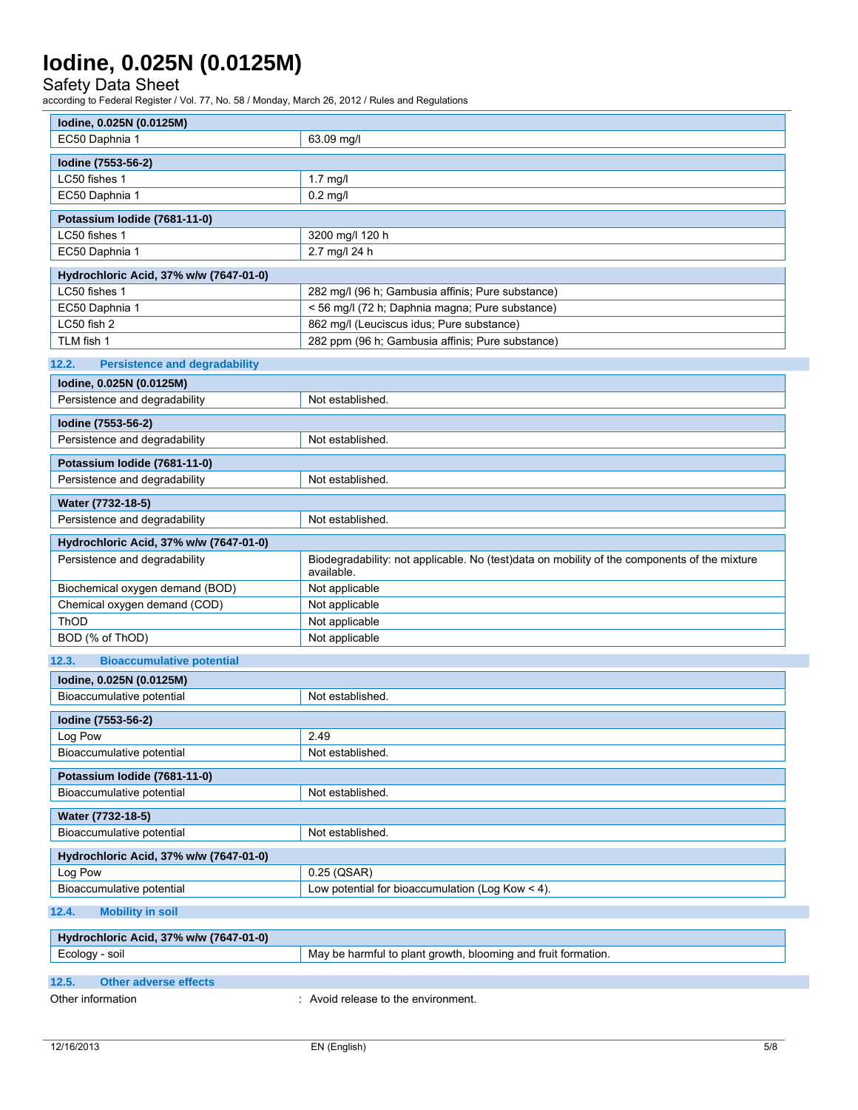Safety Data Sheet

| lodine, 0.025N (0.0125M)                      |                                                                                                            |
|-----------------------------------------------|------------------------------------------------------------------------------------------------------------|
| EC50 Daphnia 1                                | 63.09 mg/l                                                                                                 |
| Iodine (7553-56-2)                            |                                                                                                            |
| LC50 fishes 1                                 | $1.7$ mg/l                                                                                                 |
| EC50 Daphnia 1                                | $0.2$ mg/l                                                                                                 |
| Potassium Iodide (7681-11-0)                  |                                                                                                            |
| LC50 fishes 1                                 | 3200 mg/l 120 h                                                                                            |
| EC50 Daphnia 1                                | 2.7 mg/l 24 h                                                                                              |
| Hydrochloric Acid, 37% w/w (7647-01-0)        |                                                                                                            |
| LC50 fishes 1                                 | 282 mg/l (96 h; Gambusia affinis; Pure substance)                                                          |
| EC50 Daphnia 1                                | < 56 mg/l (72 h; Daphnia magna; Pure substance)                                                            |
| LC50 fish 2                                   | 862 mg/l (Leuciscus idus; Pure substance)                                                                  |
| TLM fish 1                                    | 282 ppm (96 h; Gambusia affinis; Pure substance)                                                           |
| 12.2.<br><b>Persistence and degradability</b> |                                                                                                            |
| lodine, 0.025N (0.0125M)                      |                                                                                                            |
| Persistence and degradability                 | Not established.                                                                                           |
|                                               |                                                                                                            |
| Iodine (7553-56-2)                            |                                                                                                            |
| Persistence and degradability                 | Not established.                                                                                           |
| Potassium Iodide (7681-11-0)                  |                                                                                                            |
| Persistence and degradability                 | Not established.                                                                                           |
| Water (7732-18-5)                             |                                                                                                            |
| Persistence and degradability                 | Not established.                                                                                           |
| Hydrochloric Acid, 37% w/w (7647-01-0)        |                                                                                                            |
| Persistence and degradability                 | Biodegradability: not applicable. No (test)data on mobility of the components of the mixture<br>available. |
| Biochemical oxygen demand (BOD)               | Not applicable                                                                                             |
| Chemical oxygen demand (COD)                  | Not applicable                                                                                             |
| ThOD                                          | Not applicable                                                                                             |
| BOD (% of ThOD)                               | Not applicable                                                                                             |
| 12.3.<br><b>Bioaccumulative potential</b>     |                                                                                                            |
| lodine, 0.025N (0.0125M)                      |                                                                                                            |
| Bioaccumulative potential                     | Not established.                                                                                           |
| lodine (7553-56-2)                            |                                                                                                            |
| Log Pow                                       | 2.49                                                                                                       |
| Bioaccumulative potential                     | Not established.                                                                                           |
|                                               |                                                                                                            |
| Potassium Iodide (7681-11-0)                  |                                                                                                            |
| Bioaccumulative potential                     | Not established.                                                                                           |
| Water (7732-18-5)                             |                                                                                                            |
| Bioaccumulative potential                     | Not established.                                                                                           |
| Hydrochloric Acid, 37% w/w (7647-01-0)        |                                                                                                            |
| Log Pow                                       | 0.25 (QSAR)                                                                                                |
| Bioaccumulative potential                     | Low potential for bioaccumulation (Log Kow < 4).                                                           |
| 12.4.<br><b>Mobility in soil</b>              |                                                                                                            |
| Hydrochloric Acid, 37% w/w (7647-01-0)        |                                                                                                            |

| Ecology - soil |                       | . May be harmful to plant growth, blooming and fruit formation. |
|----------------|-----------------------|-----------------------------------------------------------------|
|                |                       |                                                                 |
| 12.5.          | Other adverse effects |                                                                 |
|                | Other information     | Avoid release to the environment.                               |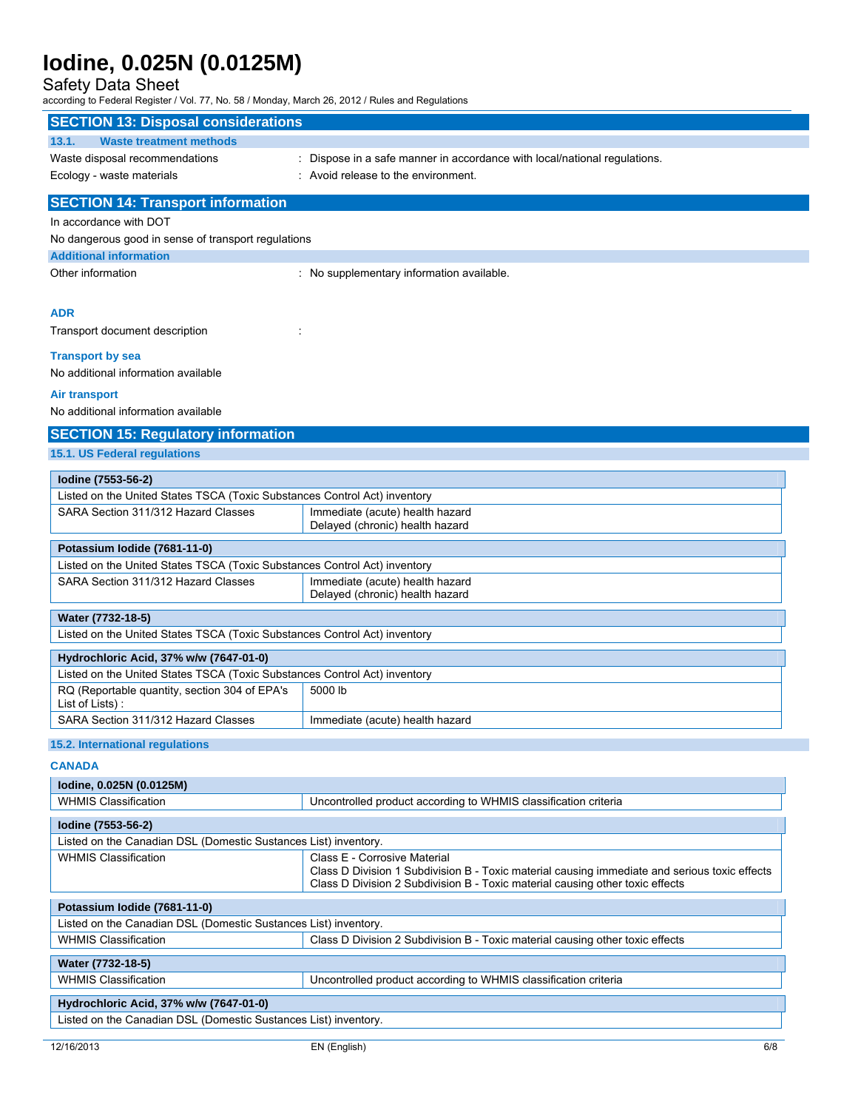### Safety Data Sheet

| according to Federal Register / Vol. 77, No. 307 Monday, March 20, 2012 / Rules and Regulations<br><b>SECTION 13: Disposal considerations</b> |                                                                                                                                                                                |
|-----------------------------------------------------------------------------------------------------------------------------------------------|--------------------------------------------------------------------------------------------------------------------------------------------------------------------------------|
| 13.1.<br><b>Waste treatment methods</b>                                                                                                       |                                                                                                                                                                                |
| Waste disposal recommendations                                                                                                                | : Dispose in a safe manner in accordance with local/national regulations.                                                                                                      |
| Ecology - waste materials                                                                                                                     | : Avoid release to the environment.                                                                                                                                            |
|                                                                                                                                               |                                                                                                                                                                                |
| <b>SECTION 14: Transport information</b>                                                                                                      |                                                                                                                                                                                |
| In accordance with DOT                                                                                                                        |                                                                                                                                                                                |
| No dangerous good in sense of transport regulations                                                                                           |                                                                                                                                                                                |
| <b>Additional information</b>                                                                                                                 |                                                                                                                                                                                |
| Other information                                                                                                                             | : No supplementary information available.                                                                                                                                      |
| <b>ADR</b>                                                                                                                                    |                                                                                                                                                                                |
| Transport document description                                                                                                                |                                                                                                                                                                                |
| <b>Transport by sea</b>                                                                                                                       |                                                                                                                                                                                |
| No additional information available                                                                                                           |                                                                                                                                                                                |
| Air transport                                                                                                                                 |                                                                                                                                                                                |
| No additional information available                                                                                                           |                                                                                                                                                                                |
| <b>SECTION 15: Regulatory information</b>                                                                                                     |                                                                                                                                                                                |
| 15.1. US Federal regulations                                                                                                                  |                                                                                                                                                                                |
| Iodine (7553-56-2)                                                                                                                            |                                                                                                                                                                                |
| Listed on the United States TSCA (Toxic Substances Control Act) inventory                                                                     |                                                                                                                                                                                |
| SARA Section 311/312 Hazard Classes                                                                                                           | Immediate (acute) health hazard<br>Delayed (chronic) health hazard                                                                                                             |
| Potassium Iodide (7681-11-0)                                                                                                                  |                                                                                                                                                                                |
| Listed on the United States TSCA (Toxic Substances Control Act) inventory                                                                     |                                                                                                                                                                                |
| SARA Section 311/312 Hazard Classes                                                                                                           | Immediate (acute) health hazard<br>Delayed (chronic) health hazard                                                                                                             |
| Water (7732-18-5)                                                                                                                             |                                                                                                                                                                                |
| Listed on the United States TSCA (Toxic Substances Control Act) inventory                                                                     |                                                                                                                                                                                |
| Hydrochloric Acid, 37% w/w (7647-01-0)                                                                                                        |                                                                                                                                                                                |
| Listed on the United States TSCA (Toxic Substances Control Act) inventory                                                                     |                                                                                                                                                                                |
| RQ (Reportable quantity, section 304 of EPA's                                                                                                 | 5000 lb                                                                                                                                                                        |
| List of Lists):                                                                                                                               |                                                                                                                                                                                |
| SARA Section 311/312 Hazard Classes                                                                                                           | Immediate (acute) health hazard                                                                                                                                                |
| 15.2. International regulations                                                                                                               |                                                                                                                                                                                |
| <b>CANADA</b>                                                                                                                                 |                                                                                                                                                                                |
| lodine, 0.025N (0.0125M)                                                                                                                      |                                                                                                                                                                                |
| <b>WHMIS Classification</b>                                                                                                                   | Uncontrolled product according to WHMIS classification criteria                                                                                                                |
|                                                                                                                                               |                                                                                                                                                                                |
| Iodine (7553-56-2)<br>Listed on the Canadian DSL (Domestic Sustances List) inventory.                                                         |                                                                                                                                                                                |
| <b>WHMIS Classification</b>                                                                                                                   | Class E - Corrosive Material                                                                                                                                                   |
|                                                                                                                                               | Class D Division 1 Subdivision B - Toxic material causing immediate and serious toxic effects<br>Class D Division 2 Subdivision B - Toxic material causing other toxic effects |
| Potassium Iodide (7681-11-0)                                                                                                                  |                                                                                                                                                                                |
| Listed on the Canadian DSL (Domestic Sustances List) inventory.                                                                               |                                                                                                                                                                                |
| <b>WHMIS Classification</b>                                                                                                                   | Class D Division 2 Subdivision B - Toxic material causing other toxic effects                                                                                                  |
| Water (7732-18-5)                                                                                                                             |                                                                                                                                                                                |
| <b>WHMIS Classification</b>                                                                                                                   | Uncontrolled product according to WHMIS classification criteria                                                                                                                |
|                                                                                                                                               |                                                                                                                                                                                |
| Hydrochloric Acid, 37% w/w (7647-01-0)                                                                                                        |                                                                                                                                                                                |
| Listed on the Canadian DSL (Domestic Sustances List) inventory.                                                                               |                                                                                                                                                                                |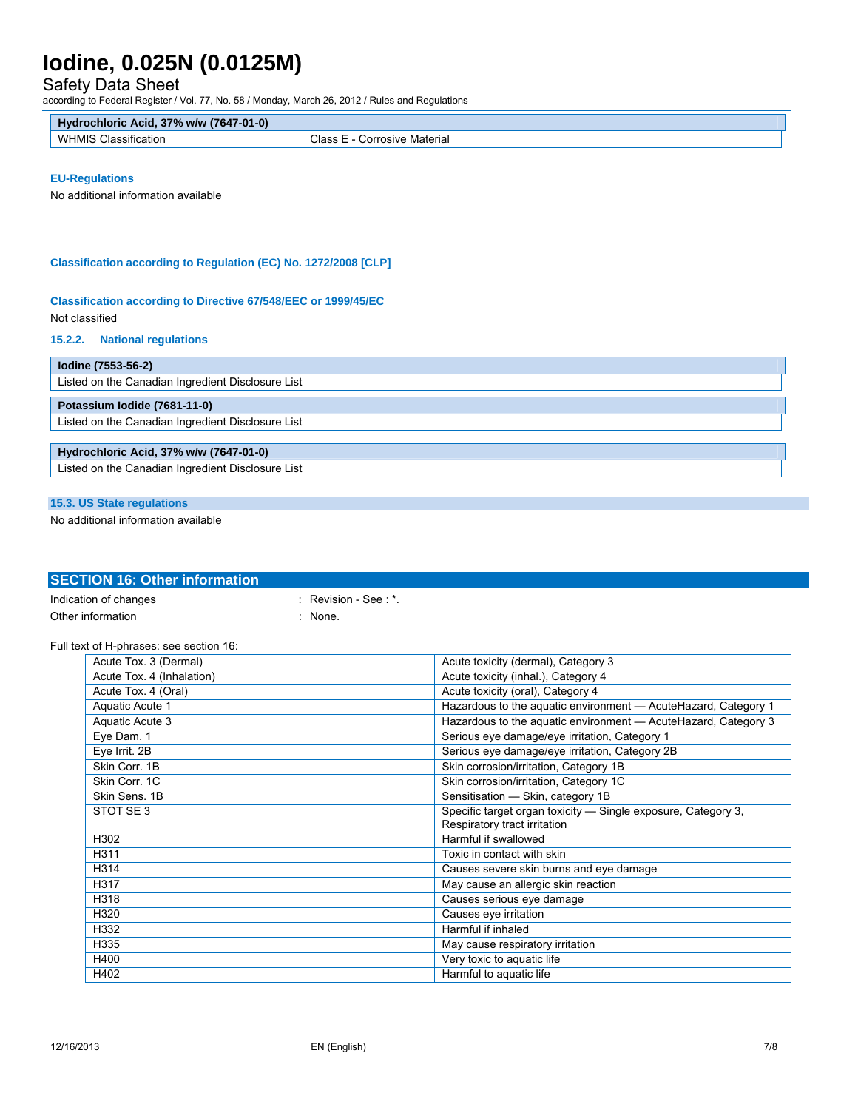### Safety Data Sheet

according to Federal Register / Vol. 77, No. 58 / Monday, March 26, 2012 / Rules and Regulations

| <b>Hydrochloric</b><br>Acid. 37% w/w (7647-01-0) |                    |
|--------------------------------------------------|--------------------|
| $\cdots$                                         | Class              |
| WHMIS                                            | Corrosive Material |
| Classification                                   | -                  |

#### **EU-Regulations**

No additional information available

#### **Classification according to Regulation (EC) No. 1272/2008 [CLP]**

## **Classification according to Directive 67/548/EEC or 1999/45/EC**

#### Not classified

#### **15.2.2. National regulations**

| lodine (7553-56-2)                                |  |  |
|---------------------------------------------------|--|--|
| Listed on the Canadian Ingredient Disclosure List |  |  |
| Potassium Iodide (7681-11-0)                      |  |  |
| Listed on the Canadian Ingredient Disclosure List |  |  |
|                                                   |  |  |
| Hydrochloric Acid, 37% w/w (7647-01-0)            |  |  |
| Listed on the Canadian Ingredient Disclosure List |  |  |
|                                                   |  |  |

### **15.3. US State regulations**

No additional information available

### **SECTION 16: Other information**  Indication of changes : Revision - See : \*.

## Other information in the set of the set of the set of the set of the set of the set of the set of the set of the set of the set of the set of the set of the set of the set of the set of the set of the set of the set of the

#### Full text of H-phrases: see section 16:

| Acute Tox. 3 (Dermal)     | Acute toxicity (dermal), Category 3                             |
|---------------------------|-----------------------------------------------------------------|
| Acute Tox. 4 (Inhalation) | Acute toxicity (inhal.), Category 4                             |
| Acute Tox. 4 (Oral)       | Acute toxicity (oral), Category 4                               |
| Aquatic Acute 1           | Hazardous to the aquatic environment - AcuteHazard, Category 1  |
| Aquatic Acute 3           | Hazardous to the aquatic environment - Acute Hazard, Category 3 |
| Eye Dam. 1                | Serious eye damage/eye irritation, Category 1                   |
| Eye Irrit. 2B             | Serious eye damage/eye irritation, Category 2B                  |
| Skin Corr. 1B             | Skin corrosion/irritation, Category 1B                          |
| Skin Corr. 1C             | Skin corrosion/irritation, Category 1C                          |
| Skin Sens, 1B             | Sensitisation - Skin, category 1B                               |
| STOT SE 3                 | Specific target organ toxicity - Single exposure, Category 3,   |
|                           | Respiratory tract irritation                                    |
| H302                      | Harmful if swallowed                                            |
| H311                      | Toxic in contact with skin                                      |
| H314                      | Causes severe skin burns and eye damage                         |
| H317                      | May cause an allergic skin reaction                             |
| H318                      | Causes serious eye damage                                       |
| H320                      | Causes eye irritation                                           |
| H332                      | Harmful if inhaled                                              |
| H335                      | May cause respiratory irritation                                |
| H400                      | Very toxic to aquatic life                                      |
| H402                      | Harmful to aquatic life                                         |